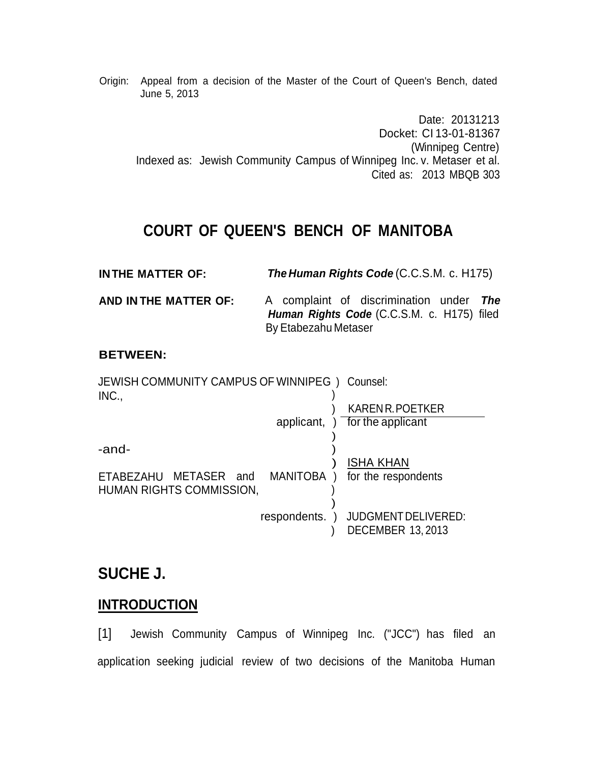Origin: Appeal from a decision of the Master of the Court of Queen's Bench, dated June 5, 2013

Date: 20131213 Docket: CI 13-01-81367 (Winnipeg Centre) Indexed as: Jewish Community Campus of Winnipeg Inc. v. Metaser et al. Cited as: 2013 MBQB 303

# **COURT OF QUEEN'S BENCH OF MANITOBA**

| <b>INTHE MATTER OF:</b> | <b>The Human Rights Code (C.C.S.M. c. H175)</b> |
|-------------------------|-------------------------------------------------|
|-------------------------|-------------------------------------------------|

**AND IN THE MATTER OF:** A complaint of discrimination under *The Human Rights Code* (C.C.S.M. c. H175) filed By Etabezahu Metaser

#### **BETWEEN:**

JEWISH COMMUNITY CAMPUS OF WINNIPEG ) Counsel:  $INC.,$  ) ) KAREN R.POETKER applicant, ) for the applicant ) -and- ) ) ISHA KHAN ETABEZAHU METASER and MANITOBA ) for the respondents HUMAN RIGHTS COMMISSION, ) ) respondents. ) JUDGMENTDELIVERED: ) DECEMBER 13, 2013

## **SUCHE J.**

## **INTRODUCTION**

[1] Jewish Community Campus of Winnipeg Inc. ("JCC") has filed an application seeking judicial review of two decisions of the Manitoba Human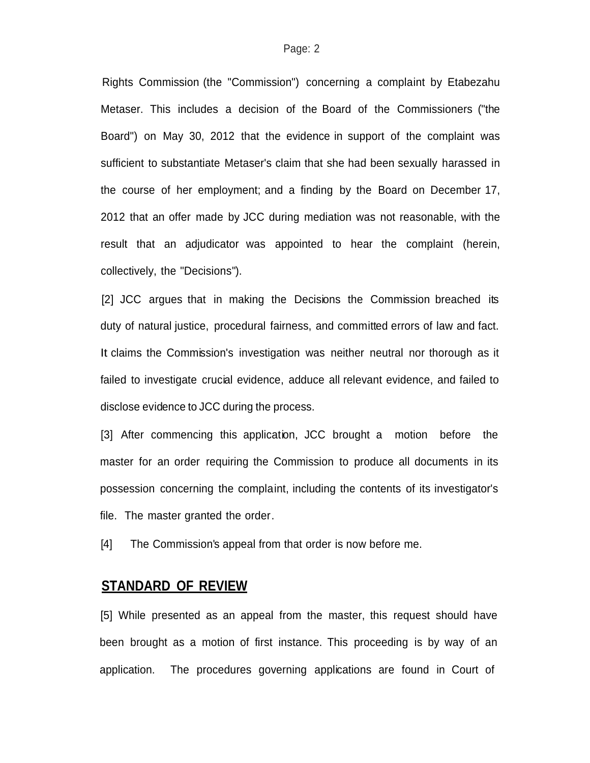Rights Commission (the "Commission") concerning a complaint by Etabezahu Metaser. This includes a decision of the Board of the Commissioners ("the Board") on May 30, 2012 that the evidence in support of the complaint was sufficient to substantiate Metaser's claim that she had been sexually harassed in the course of her employment; and a finding by the Board on December 17, 2012 that an offer made by JCC during mediation was not reasonable, with the result that an adjudicator was appointed to hear the complaint (herein, collectively, the "Decisions").

[2] JCC argues that in making the Decisions the Commission breached its duty of natural justice, procedural fairness, and committed errors of law and fact. It claims the Commission's investigation was neither neutral nor thorough as it failed to investigate crucial evidence, adduce all relevant evidence, and failed to disclose evidence to JCC during the process.

[3] After commencing this application, JCC brought a motion before the master for an order requiring the Commission to produce all documents in its possession concerning the complaint, including the contents of its investigator's file. The master granted the order.

[4] The Commission's appeal from that order is now before me.

#### **STANDARD OF REVIEW**

[5] While presented as an appeal from the master, this request should have been brought as a motion of first instance. This proceeding is by way of an application. The procedures governing applications are found in Court of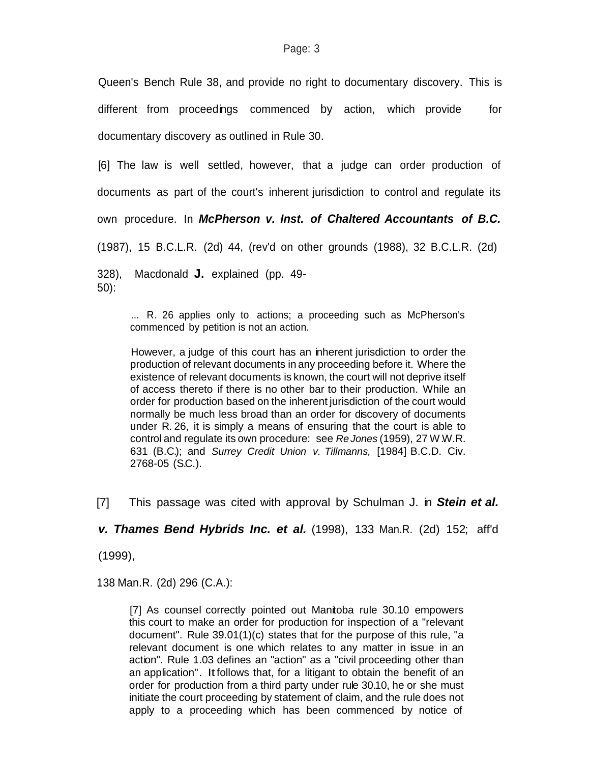Queen's Bench Rule 38, and provide no right to documentary discovery. This is different from proceedings commenced by action, which provide for documentary discovery as outlined in Rule 30.

[6] The law is well settled, however, that a judge can order production of documents as part of the court's inherent jurisdiction to control and regulate its own procedure. In *McPherson v. Inst. of Chaltered Accountants of B.C.* (1987), 15 B.C.L.R. (2d) 44, (rev'd on other grounds (1988), 32 B.C.L.R. (2d) 328), Macdonald **J.** explained (pp. 49- 50):

... R. 26 applies only to actions; a proceeding such as McPherson's commenced by petition is not an action.

However, a judge of this court has an inherent jurisdiction to order the production of relevant documents in any proceeding before it. Where the existence of relevant documents is known, the court will not deprive itself of access thereto if there is no other bar to their production. While an order for production based on the inherent jurisdiction of the court would normally be much less broad than an order for discovery of documents under R. 26, it is simply a means of ensuring that the court is able to control and regulate its own procedure: see *Re Jones* (1959), 27 W.W.R. 631 (B.C.); and *Surrey Credit Union v. Tillmanns,* [1984] B.C.D. Civ. 2768-05 (S.C.).

[7] This passage was cited with approval by Schulman J. in *Stein et al.*

*v. Thames Bend Hybrids Inc. et al.* (1998), 133 Man.R. (2d) 152; aff'd

(1999),

138 Man.R. (2d) 296 (C.A.):

[7] As counsel correctly pointed out Manitoba rule 30.10 empowers this court to make an order for production for inspection of a "relevant document". Rule 39.01(1)(c) states that for the purpose of this rule, "a relevant document is one which relates to any matter in issue in an action". Rule 1.03 defines an "action" as a "civil proceeding other than an application". Itfollows that, for a litigant to obtain the benefit of an order for production from a third party under rule 30.10, he or she must initiate the court proceeding by statement of claim, and the rule does not apply to a proceeding which has been commenced by notice of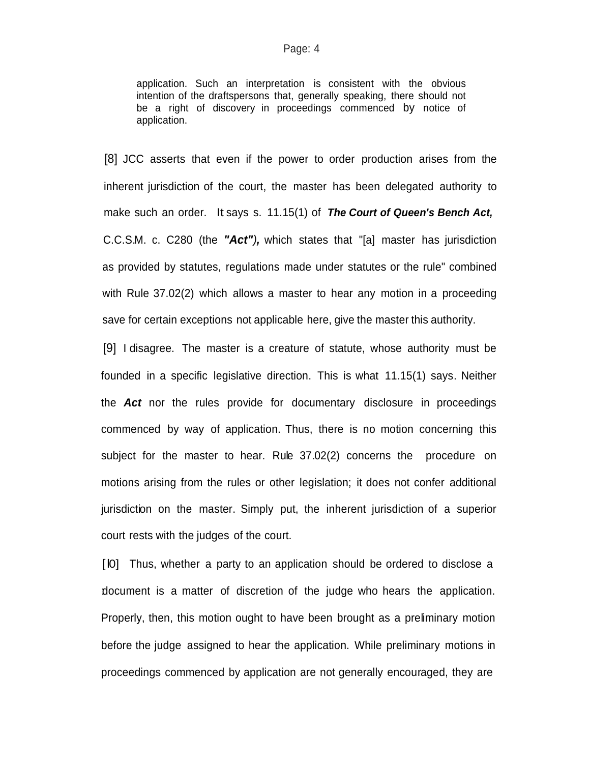application. Such an interpretation is consistent with the obvious intention of the draftspersons that, generally speaking, there should not be a right of discovery in proceedings commenced by notice of application.

[8] JCC asserts that even if the power to order production arises from the inherent jurisdiction of the court, the master has been delegated authority to make such an order. It says s. 11.15(1) of *The Court of Queen's Bench Act,* C.C.S.M. c. C280 (the *"Act"),* which states that "[a] master has jurisdiction as provided by statutes, regulations made under statutes or the rule" combined with Rule 37.02(2) which allows a master to hear any motion in a proceeding save for certain exceptions not applicable here, give the master this authority.

[9] I disagree. The master is a creature of statute, whose authority must be founded in a specific legislative direction. This is what 11.15(1) says. Neither the *Act* nor the rules provide for documentary disclosure in proceedings commenced by way of application. Thus, there is no motion concerning this subject for the master to hear. Rule 37.02(2) concerns the procedure on motions arising from the rules or other legislation; it does not confer additional jurisdiction on the master. Simply put, the inherent jurisdiction of a superior court rests with the judges of the court.

[l0] Thus, whether a party to an application should be ordered to disclose a :document is a matter of discretion of the judge who hears the application. Properly, then, this motion ought to have been brought as a preliminary motion before the judge assigned to hear the application. While preliminary motions in proceedings commenced by application are not generally encouraged, they are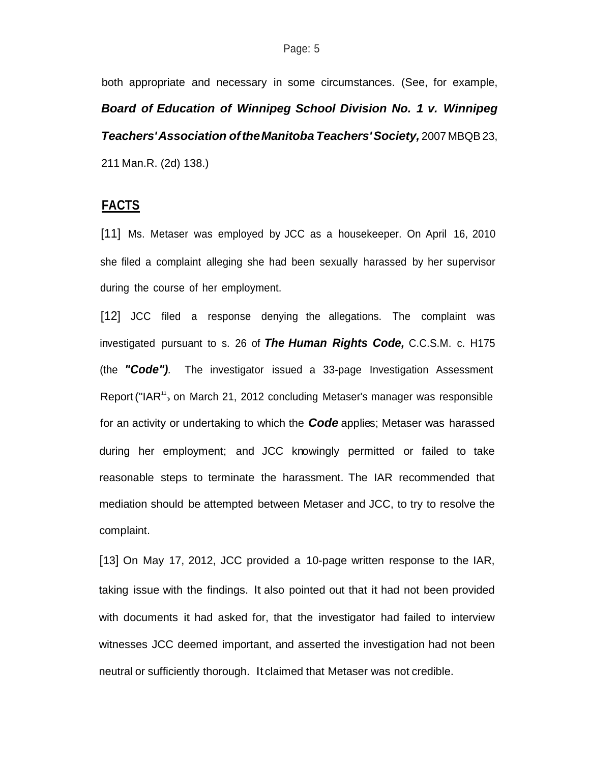both appropriate and necessary in some circumstances. (See, for example, *Board of Education of Winnipeg School Division No. 1 v. Winnipeg Teachers'Association oftheManitoba Teachers'Society,* 2007 MBQB23, 211 Man.R. (2d) 138.)

#### **FACTS**

[11] Ms. Metaser was employed by JCC as a housekeeper. On April 16, 2010 she filed a complaint alleging she had been sexually harassed by her supervisor during the course of her employment.

Report ("IAR<sup>11</sup> on March 21, 2012 concluding Metaser's manager was responsible [12] JCC filed a response denying the allegations. The complaint was investigated pursuant to s. 26 of *The Human Rights Code,* C.C.S.M. c. H175 (the *"Code").* The investigator issued a 33-page Investigation Assessment for an activity or undertaking to which the *Code* applies; Metaser was harassed during her employment; and JCC knowingly permitted or failed to take reasonable steps to terminate the harassment. The IAR recommended that mediation should be attempted between Metaser and JCC, to try to resolve the complaint.

[13] On May 17, 2012, JCC provided a 10-page written response to the IAR, taking issue with the findings. It also pointed out that it had not been provided with documents it had asked for, that the investigator had failed to interview witnesses JCC deemed important, and asserted the investigation had not been neutral or sufficiently thorough. It claimed that Metaser was not credible.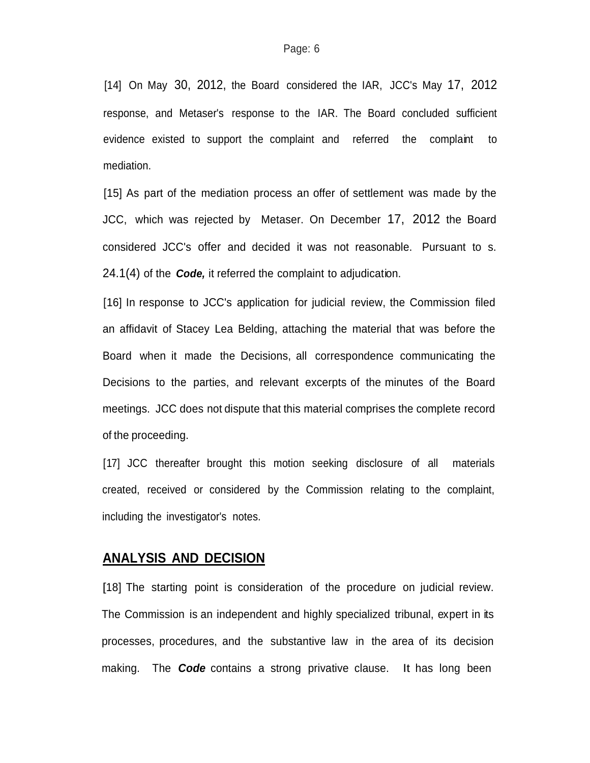[14] On May 30, 2012, the Board considered the IAR, JCC's May 17, 2012 response, and Metaser's response to the IAR. The Board concluded sufficient evidence existed to support the complaint and referred the complaint to mediation.

[15] As part of the mediation process an offer of settlement was made by the JCC, which was rejected by Metaser. On December 17, 2012 the Board considered JCC's offer and decided it was not reasonable. Pursuant to s. 24.1(4) of the *Code,* it referred the complaint to adjudication.

[16] In response to JCC's application for judicial review, the Commission filed an affidavit of Stacey Lea Belding, attaching the material that was before the Board when it made the Decisions, all correspondence communicating the Decisions to the parties, and relevant excerpts of the minutes of the Board meetings. JCC does not dispute that this material comprises the complete record of the proceeding.

[17] JCC thereafter brought this motion seeking disclosure of all materials created, received or considered by the Commission relating to the complaint, including the investigator's notes.

### **ANALYSIS AND DECISION**

[18] The starting point is consideration of the procedure on judicial review. The Commission is an independent and highly specialized tribunal, expert in its processes, procedures, and the substantive law in the area of its decision making. The *Code* contains a strong privative clause. It has long been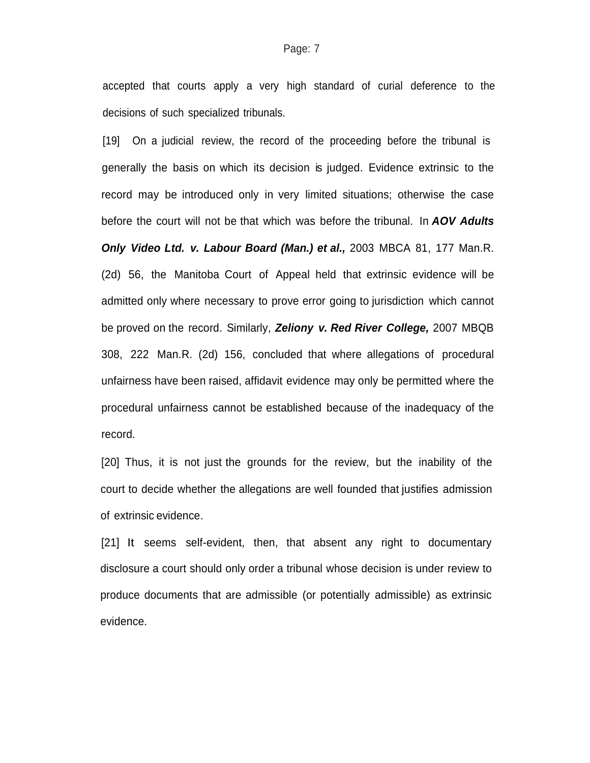accepted that courts apply a very high standard of curial deference to the decisions of such specialized tribunals.

[19] On a judicial review, the record of the proceeding before the tribunal is generally the basis on which its decision is judged. Evidence extrinsic to the record may be introduced only in very limited situations; otherwise the case before the court will not be that which was before the tribunal. In *AOV Adults Only Video Ltd. v. Labour Board (Man.) et al.,* 2003 MBCA 81, 177 Man.R. (2d) 56, the Manitoba Court of Appeal held that extrinsic evidence will be admitted only where necessary to prove error going to jurisdiction which cannot be proved on the record. Similarly, *Zeliony v. Red River College,* 2007 MBQB 308, 222 Man.R. (2d) 156, concluded that where allegations of procedural unfairness have been raised, affidavit evidence may only be permitted where the procedural unfairness cannot be established because of the inadequacy of the record.

[20] Thus, it is not just the grounds for the review, but the inability of the court to decide whether the allegations are well founded that justifies admission of extrinsic evidence.

[21] It seems self-evident, then, that absent any right to documentary disclosure a court should only order a tribunal whose decision is under review to produce documents that are admissible (or potentially admissible) as extrinsic evidence.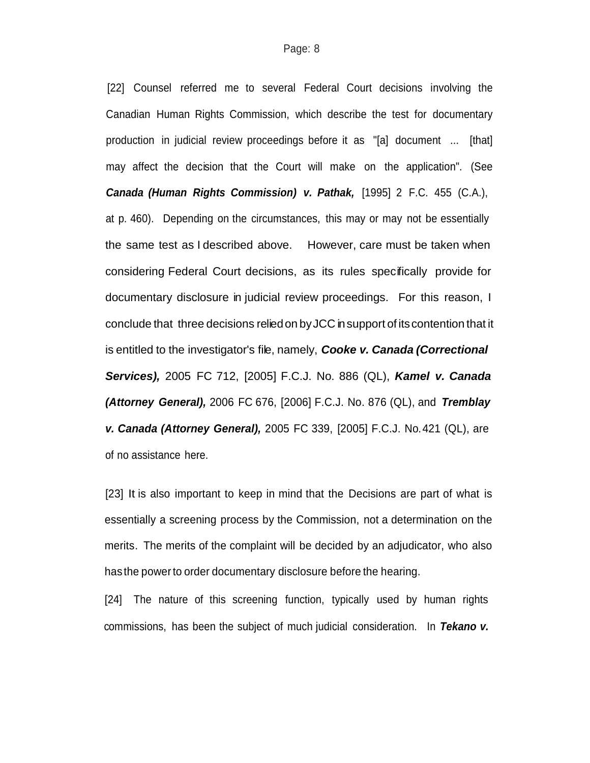[22] Counsel referred me to several Federal Court decisions involving the Canadian Human Rights Commission, which describe the test for documentary production in judicial review proceedings before it as "[a] document ... [that] may affect the decision that the Court will make on the application". (See *Canada (Human Rights Commission) v. Pathak,* [1995] 2 F.C. 455 (C.A.), at p. 460). Depending on the circumstances, this may or may not be essentially the same test as I described above. However, care must be taken when considering Federal Court decisions, as its rules specifically provide for documentary disclosure in judicial review proceedings. For this reason, I conclude that three decisions reliedon byJCC insupport of itscontention that it is entitled to the investigator's file, namely, *Cooke v. Canada (Correctional Services),* 2005 FC 712, [2005] F.C.J. No. 886 (QL), *Kamel v. Canada (Attorney General),* 2006 FC 676, [2006] F.C.J. No. 876 (QL), and *Tremblay v. Canada (Attorney General),* 2005 FC 339, [2005] F.C.J. No.421 (QL), are of no assistance here.

[23] It is also important to keep in mind that the Decisions are part of what is essentially a screening process by the Commission, not a determination on the merits. The merits of the complaint will be decided by an adjudicator, who also has the power to order documentary disclosure before the hearing.

[24] The nature of this screening function, typically used by human rights commissions, has been the subject of much judicial consideration. In *Tekano v.*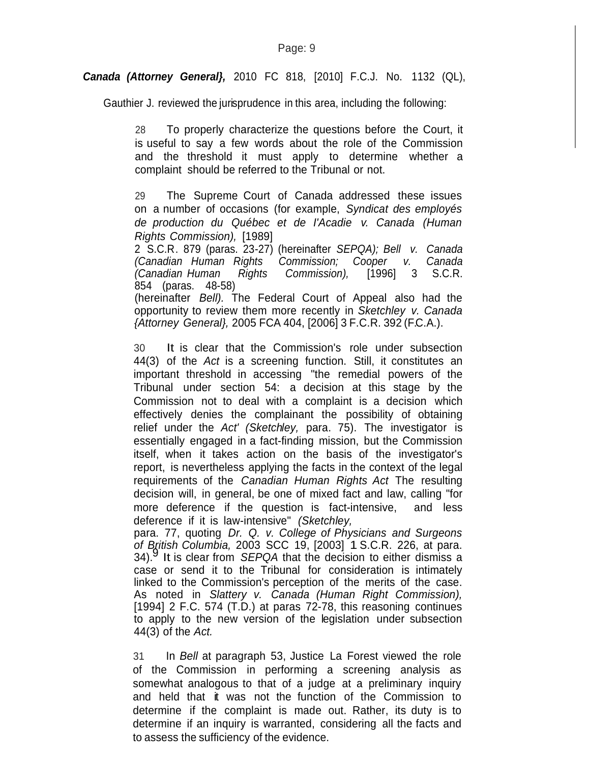#### *Canada (Attorney General},* 2010 FC 818, [2010] F.C.J. No. 1132 (QL),

Gauthier J. reviewed the jurisprudence in this area, including the following:

28 To properly characterize the questions before the Court, it is useful to say a few words about the role of the Commission and the threshold it must apply to determine whether a complaint should be referred to the Tribunal or not.

29 The Supreme Court of Canada addressed these issues on a number of occasions (for example, *Syndicat des employés de production du Québec et de I'Acadie v. Canada (Human Rights Commission),* [1989]

2 S.C.R. 879 (paras. 23-27) (hereinafter *SEPQA); Bell v. Canada (Canadian Human Rights Commission; Cooper v. Canada (Canadian Human Rights Commission),* [1996] 3 S.C.R. 854 (paras. 48-58) (hereinafter *Bell).* The Federal Court of Appeal also had the opportunity to review them more recently in *Sketchley v. Canada {Attorney General},* 2005 FCA 404, [2006] 3 F.C.R. 392 (F.C.A.).

30 It is clear that the Commission's role under subsection 44(3) of the *Act* is a screening function. Still, it constitutes an important threshold in accessing "the remedial powers of the Tribunal under section 54: a decision at this stage by the Commission not to deal with a complaint is a decision which effectively denies the complainant the possibility of obtaining relief under the *Act' (Sketchley,* para. 75). The investigator is essentially engaged in a fact-finding mission, but the Commission itself, when it takes action on the basis of the investigator's report, is nevertheless applying the facts in the context of the legal requirements of the *Canadian Human Rights Act* The resulting decision will, in general, be one of mixed fact and law, calling "for more deference if the question is fact-intensive, and less deference if it is law-intensive" *(Sketchley,*

para. 77, quoting *Dr. Q. v. College of Physicians and Surgeons of British Columbia,* 2003 SCC 19, [2003] 1 S.C.R. 226, at para. 34). 9 It is clear from *SEPQA* that the decision to either dismiss a case or send it to the Tribunal for consideration is intimately linked to the Commission's perception of the merits of the case. As noted in *Slattery v. Canada (Human Right Commission),* [1994] 2 F.C. 574 (T.D.) at paras 72-78, this reasoning continues to apply to the new version of the legislation under subsection 44(3) of the *Act.*

31 In *Bell* at paragraph 53, Justice La Forest viewed the role of the Commission in performing a screening analysis as somewhat analogous to that of a judge at a preliminary inquiry and held that it was not the function of the Commission to determine if the complaint is made out. Rather, its duty is to determine if an inquiry is warranted, considering all the facts and to assess the sufficiency of the evidence.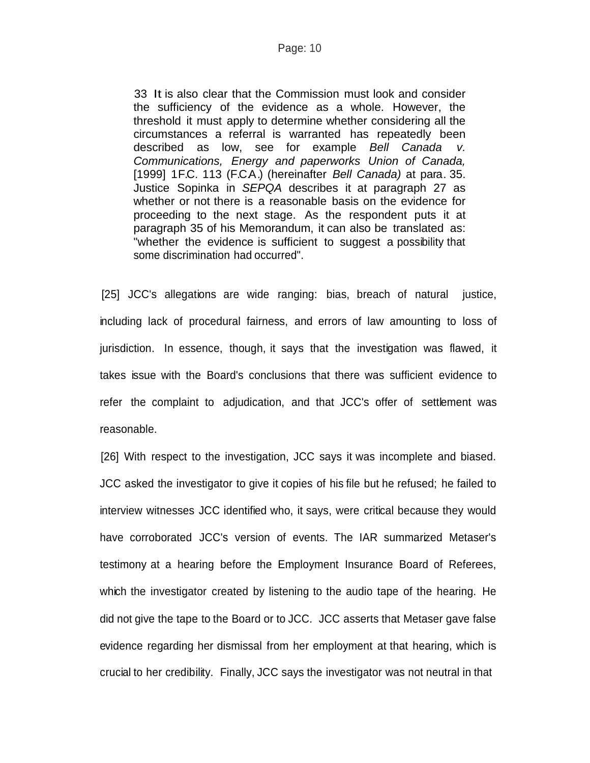#### Page: 10

33 It is also clear that the Commission must look and consider the sufficiency of the evidence as a whole. However, the threshold it must apply to determine whether considering all the circumstances a referral is warranted has repeatedly been described as low, see for example *Bell Canada v. Communications, Energy and paperworks Union of Canada,* [1999] 1F.C. 113 (F.C.A.) (hereinafter *Bell Canada)* at para. 35. Justice Sopinka in *SEPQA* describes it at paragraph 27 as whether or not there is a reasonable basis on the evidence for proceeding to the next stage. As the respondent puts it at paragraph 35 of his Memorandum, it can also be translated as: "whether the evidence is sufficient to suggest a possibility that some discrimination had occurred".

[25] JCC's allegations are wide ranging: bias, breach of natural justice, including lack of procedural fairness, and errors of law amounting to loss of jurisdiction. In essence, though, it says that the investigation was flawed, it takes issue with the Board's conclusions that there was sufficient evidence to refer the complaint to adjudication, and that JCC's offer of settlement was reasonable.

[26] With respect to the investigation, JCC says it was incomplete and biased. JCC asked the investigator to give it copies of his file but he refused; he failed to interview witnesses JCC identified who, it says, were critical because they would have corroborated JCC's version of events. The IAR summarized Metaser's testimony at a hearing before the Employment Insurance Board of Referees, which the investigator created by listening to the audio tape of the hearing. He did not give the tape to the Board or to JCC. JCC asserts that Metaser gave false evidence regarding her dismissal from her employment at that hearing, which is crucial to her credibility. Finally, JCC says the investigator was not neutral in that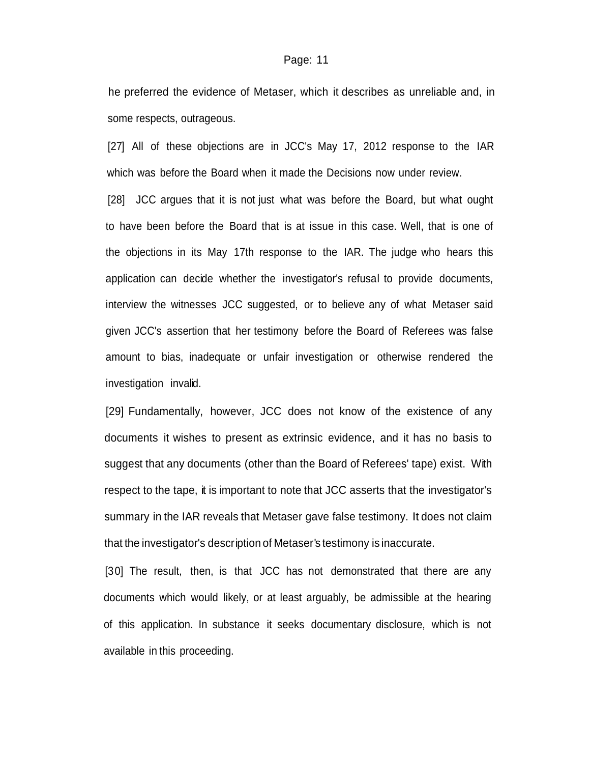#### Page: 11

he preferred the evidence of Metaser, which it describes as unreliable and, in some respects, outrageous.

[27] All of these objections are in JCC's May 17, 2012 response to the IAR which was before the Board when it made the Decisions now under review.

[28] JCC argues that it is not just what was before the Board, but what ought to have been before the Board that is at issue in this case. Well, that is one of the objections in its May 17th response to the IAR. The judge who hears this application can decide whether the investigator's refusal to provide documents, interview the witnesses JCC suggested, or to believe any of what Metaser said given JCC's assertion that her testimony before the Board of Referees was false amount to bias, inadequate or unfair investigation or otherwise rendered the investigation invalid.

[29] Fundamentally, however, JCC does not know of the existence of any documents it wishes to present as extrinsic evidence, and it has no basis to suggest that any documents (other than the Board of Referees' tape) exist. With respect to the tape, it is important to note that JCC asserts that the investigator's summary in the IAR reveals that Metaser gave false testimony. It does not claim that the investigator's description of Metaser's testimony is inaccurate.

[30] The result, then, is that JCC has not demonstrated that there are any documents which would likely, or at least arguably, be admissible at the hearing of this application. In substance it seeks documentary disclosure, which is not available in this proceeding.